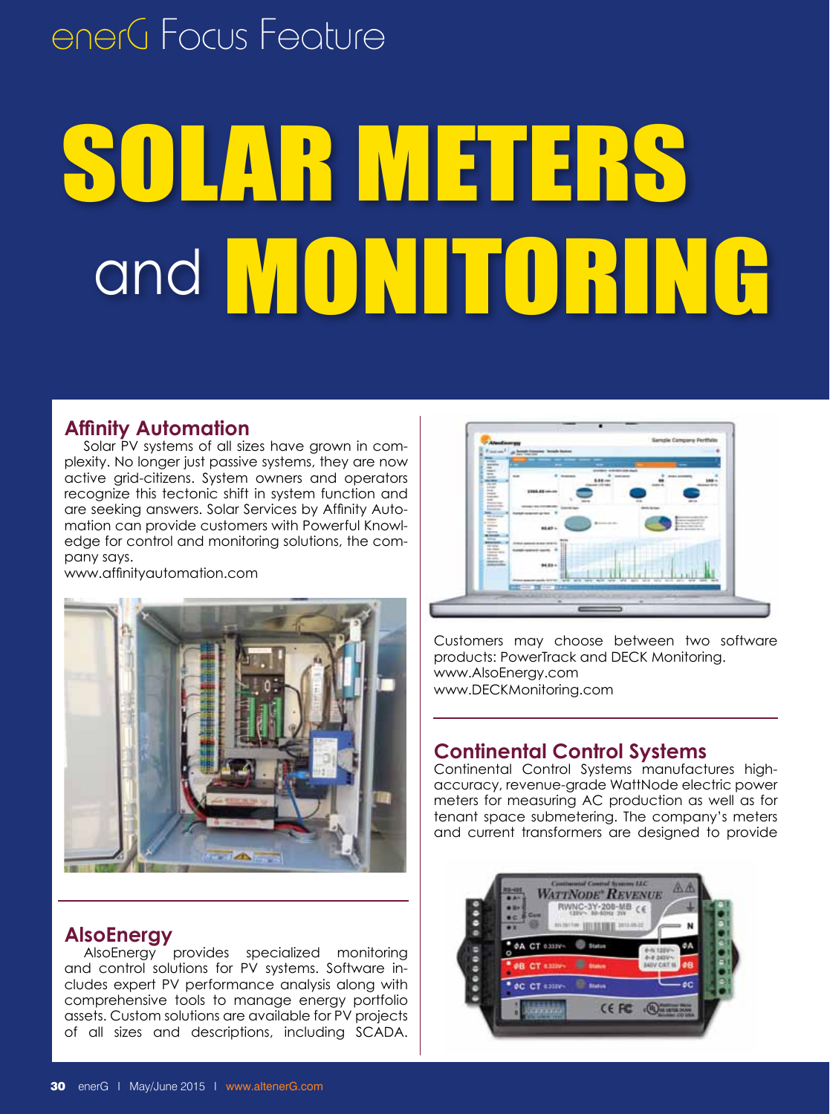## enerG Focus Feature

# SOLAR METERS and **MONITORING**

### **Affinity Automation**

Solar PV systems of all sizes have grown in complexity. No longer just passive systems, they are now active grid-citizens. System owners and operators recognize this tectonic shift in system function and are seeking answers. Solar Services by Affinity Automation can provide customers with Powerful Knowledge for control and monitoring solutions, the company says.

www.affinityautomation.com



### **AlsoEnergy**

AlsoEnergy provides specialized monitoring and control solutions for PV systems. Software includes expert PV performance analysis along with comprehensive tools to manage energy portfolio assets. Custom solutions are available for PV projects of all sizes and descriptions, including SCADA.



Customers may choose between two software products: PowerTrack and DECK Monitoring. www.AlsoEnergy.com www.DECKMonitoring.com

### **Continental Control Systems**

Continental Control Systems manufactures highaccuracy, revenue-grade WattNode electric power meters for measuring AC production as well as for tenant space submetering. The company's meters and current transformers are designed to provide

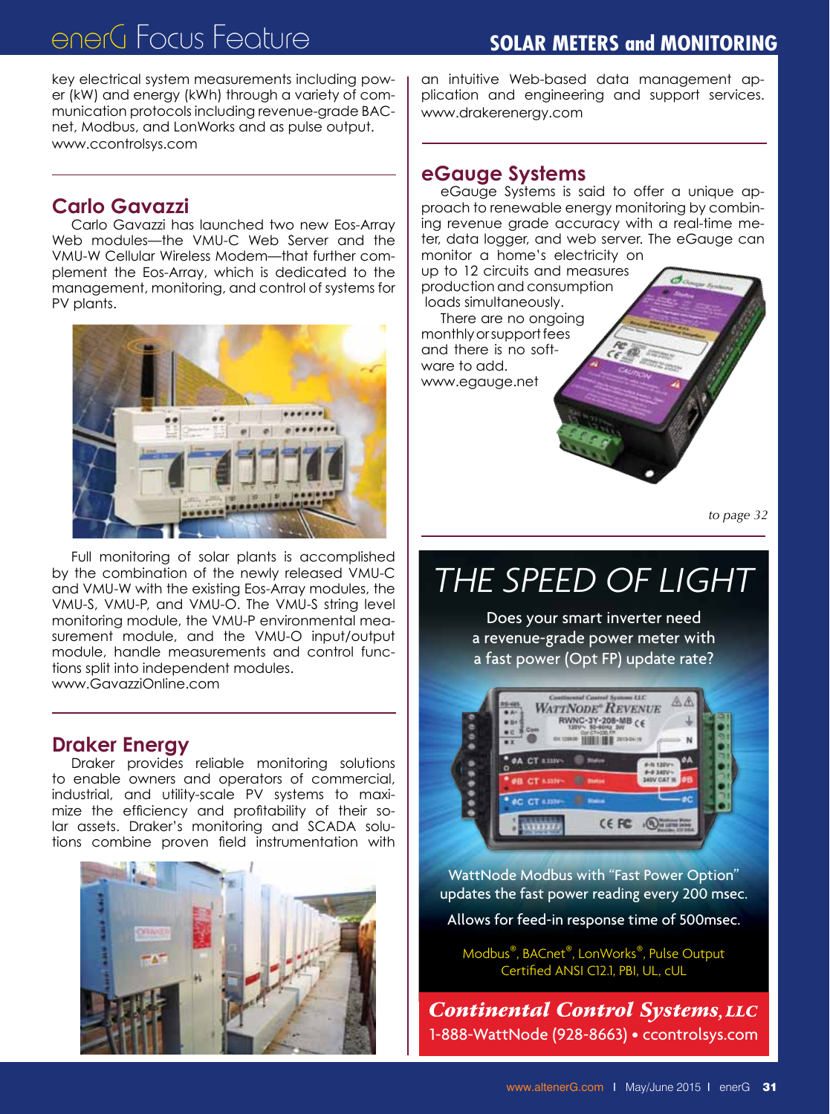## enerG Focus Feature **Solar Meters and Monitoring**

key electrical system measurements including power (kW) and energy (kWh) through a variety of communication protocols including revenue-grade BACnet, Modbus, and LonWorks and as pulse output. www.ccontrolsys.com

### **Carlo Gavazzi**

Carlo Gavazzi has launched two new Eos-Array Web modules—the VMU-C Web Server and the VMU-W Cellular Wireless Modem—that further complement the Eos-Array, which is dedicated to the management, monitoring, and control of systems for PV plants.



Full monitoring of solar plants is accomplished by the combination of the newly released VMU-C and VMU-W with the existing Eos-Array modules, the VMU-S, VMU-P, and VMU-O. The VMU-S string level monitoring module, the VMU-P environmental measurement module, and the VMU-O input/output module, handle measurements and control functions split into independent modules. www.GavazziOnline.com

#### **Draker Energy**

Draker provides reliable monitoring solutions to enable owners and operators of commercial, industrial, and utility-scale PV systems to maximize the efficiency and profitability of their solar assets. Draker's monitoring and SCADA solutions combine proven field instrumentation with



an intuitive Web-based data management application and engineering and support services. www.drakerenergy.com

#### **eGauge Systems**

eGauge Systems is said to offer a unique approach to renewable energy monitoring by combining revenue grade accuracy with a real-time meter, data logger, and web server. The eGauge can monitor a home's electricity on

up to 12 circuits and measures production and consumption loads simultaneously. There are no ongoing monthly or support fees and there is no software to add.

www.egauge.net

*to page 32*

## *THE SPEED OF LIGHT*

Does your smart inverter need a revenue-grade power meter with a fast power (Opt FP) update rate?



WattNode Modbus with "Fast Power Option" updates the fast power reading every 200 msec.

Allows for feed-in response time of 500msec.

Modbus®, BACnet®, LonWorks®, Pulse Output Certified ANSI C12.1, PBI, UL, cUL

**Continental Control Systems, LLC** *to page 31* 1-888-WattNode (928-8663) • ccontrolsys.com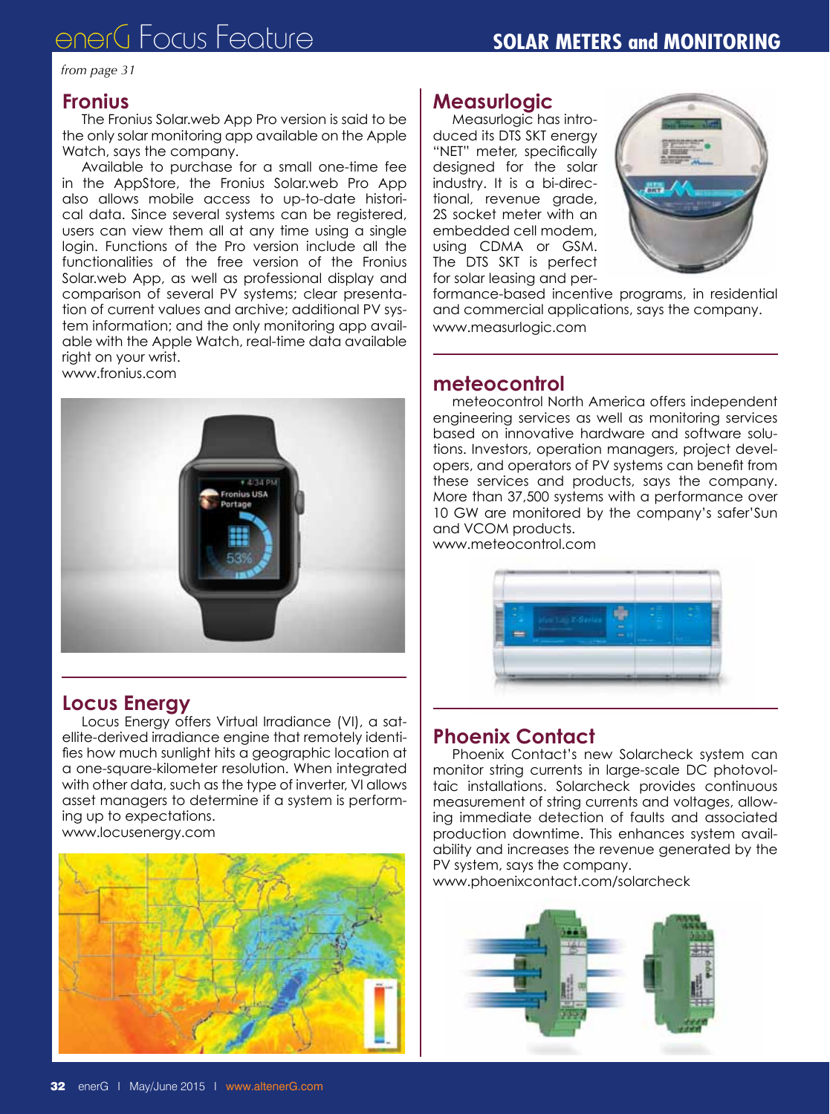## enerG Focus Feature **Solar Meters and Monitoring**

#### *from page 31*

#### **Fronius**

The Fronius Solar.web App Pro version is said to be the only solar monitoring app available on the Apple Watch, says the company.

Available to purchase for a small one-time fee in the AppStore, the Fronius Solar.web Pro App also allows mobile access to up-to-date historical data. Since several systems can be registered, users can view them all at any time using a single login. Functions of the Pro version include all the functionalities of the free version of the Fronius Solar.web App, as well as professional display and comparison of several PV systems; clear presentation of current values and archive; additional PV system information; and the only monitoring app available with the Apple Watch, real-time data available right on your wrist.

www.fronius.com



#### **Locus Energy**

Locus Energy offers Virtual Irradiance (VI), a satellite-derived irradiance engine that remotely identifies how much sunlight hits a geographic location at a one-square-kilometer resolution. When integrated with other data, such as the type of inverter, VI allows asset managers to determine if a system is performing up to expectations. www.locusenergy.com



#### **Measurlogic**

Measurlogic has introduced its DTS SKT energy "NET" meter, specifically designed for the solar industry. It is a bi-directional, revenue grade, 2S socket meter with an embedded cell modem, using CDMA or GSM. The DTS SKT is perfect for solar leasing and per-



formance-based incentive programs, in residential and commercial applications, says the company. www.measurlogic.com

#### **meteocontrol**

meteocontrol North America offers independent engineering services as well as monitoring services based on innovative hardware and software solutions. Investors, operation managers, project developers, and operators of PV systems can benefit from these services and products, says the company. More than 37,500 systems with a performance over 10 GW are monitored by the company's safer'Sun and VCOM products.

www.meteocontrol.com



### **Phoenix Contact**

Phoenix Contact's new Solarcheck system can monitor string currents in large-scale DC photovoltaic installations. Solarcheck provides continuous measurement of string currents and voltages, allowing immediate detection of faults and associated production downtime. This enhances system availability and increases the revenue generated by the PV system, says the company.

www.phoenixcontact.com/solarcheck